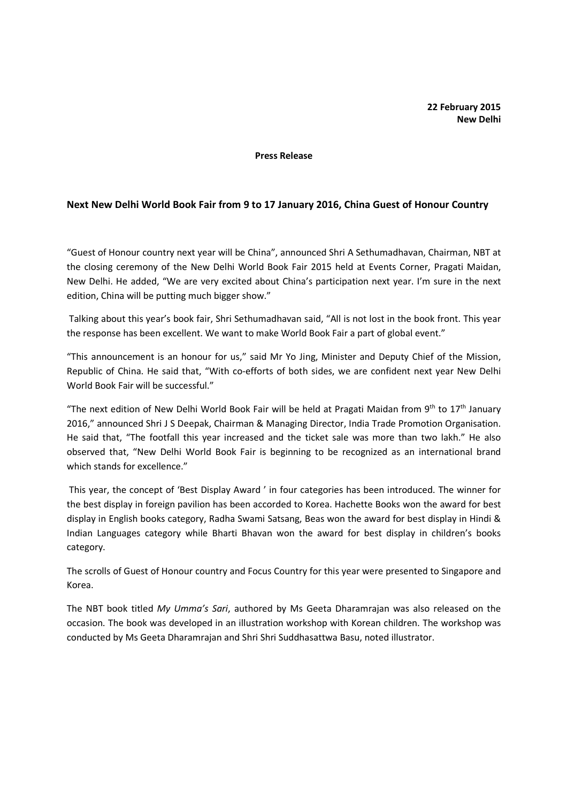## Press Release

## Next New Delhi World Book Fair from 9 to 17 January 2016, China Guest of Honour Country

"Guest of Honour country next year will be China", announced Shri A Sethumadhavan, Chairman, NBT at the closing ceremony of the New Delhi World Book Fair 2015 held at Events Corner, Pragati Maidan, New Delhi. He added, "We are very excited about China's participation next year. I'm sure in the next edition, China will be putting much bigger show."

 Talking about this year's book fair, Shri Sethumadhavan said, "All is not lost in the book front. This year the response has been excellent. We want to make World Book Fair a part of global event."

"This announcement is an honour for us," said Mr Yo Jing, Minister and Deputy Chief of the Mission, Republic of China. He said that, "With co-efforts of both sides, we are confident next year New Delhi World Book Fair will be successful."

"The next edition of New Delhi World Book Fair will be held at Pragati Maidan from  $9<sup>th</sup>$  to  $17<sup>th</sup>$  January 2016," announced Shri J S Deepak, Chairman & Managing Director, India Trade Promotion Organisation. He said that, "The footfall this year increased and the ticket sale was more than two lakh." He also observed that, "New Delhi World Book Fair is beginning to be recognized as an international brand which stands for excellence."

 This year, the concept of 'Best Display Award ' in four categories has been introduced. The winner for the best display in foreign pavilion has been accorded to Korea. Hachette Books won the award for best display in English books category, Radha Swami Satsang, Beas won the award for best display in Hindi & Indian Languages category while Bharti Bhavan won the award for best display in children's books category.

The scrolls of Guest of Honour country and Focus Country for this year were presented to Singapore and Korea.

The NBT book titled My Umma's Sari, authored by Ms Geeta Dharamrajan was also released on the occasion. The book was developed in an illustration workshop with Korean children. The workshop was conducted by Ms Geeta Dharamrajan and Shri Shri Suddhasattwa Basu, noted illustrator.